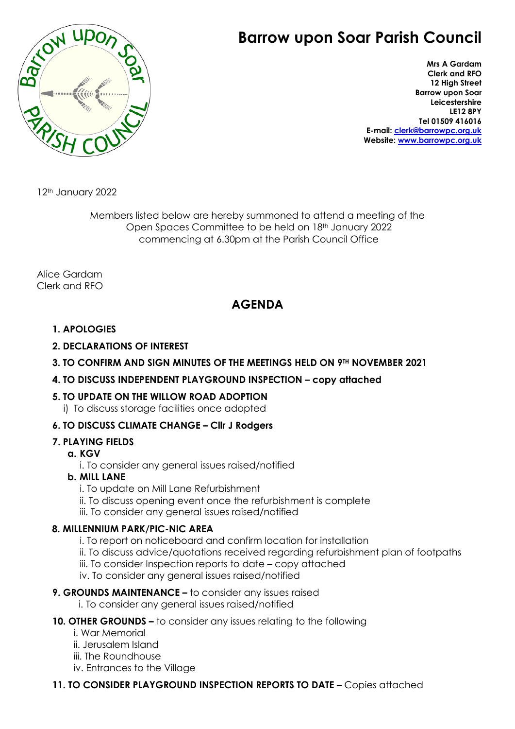# **Barrow upon Soar Parish Council**



**Mrs A Gardam Clerk and RFO 12 High Street Barrow upon Soar Leicestershire LE12 8PY Tel 01509 416016 E-mail: [clerk@barrowpc.org.uk](mailto:clerk@barrowpc.org.uk) Website: [www.barrowpc.org.uk](http://www.barrowpc.org.uk/)**

12<sup>th</sup> January 2022

Members listed below are hereby summoned to attend a meeting of the Open Spaces Committee to be held on 18th January 2022 commencing at 6.30pm at the Parish Council Office

Alice Gardam Clerk and RFO

# **AGENDA**

# **1. APOLOGIES**

- **2. DECLARATIONS OF INTEREST**
- **3. TO CONFIRM AND SIGN MINUTES OF THE MEETINGS HELD ON 9TH NOVEMBER 2021**

#### **4. TO DISCUSS INDEPENDENT PLAYGROUND INSPECTION – copy attached**

#### **5. TO UPDATE ON THE WILLOW ROAD ADOPTION**

i) To discuss storage facilities once adopted

# **6. TO DISCUSS CLIMATE CHANGE – Cllr J Rodgers**

# **7. PLAYING FIELDS**

#### **a. KGV**

i. To consider any general issues raised/notified

### **b. MILL LANE**

- i. To update on Mill Lane Refurbishment
- ii. To discuss opening event once the refurbishment is complete
- iii. To consider any general issues raised/notified

#### **8. MILLENNIUM PARK/PIC-NIC AREA**

- i. To report on noticeboard and confirm location for installation
- ii. To discuss advice/quotations received regarding refurbishment plan of footpaths
- iii. To consider Inspection reports to date copy attached
- iv. To consider any general issues raised/notified
- **9. GROUNDS MAINTENANCE –** to consider any issues raised
	- i. To consider any general issues raised/notified

# **10. OTHER GROUNDS –** to consider any issues relating to the following

- i. War Memorial
- ii. Jerusalem Island
- iii. The Roundhouse
- iv. Entrances to the Village

# **11. TO CONSIDER PLAYGROUND INSPECTION REPORTS TO DATE –** Copies attached